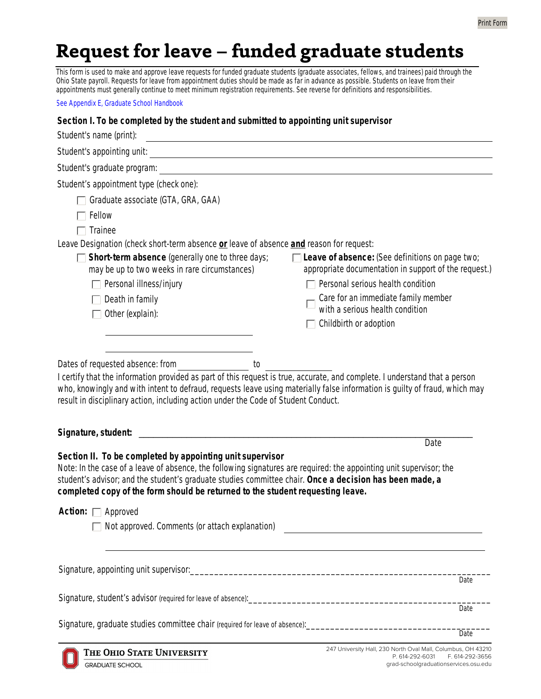# Request for leave - funded graduate students

This form is used to make and approve leave requests for funded graduate students (graduate associates, fellows, and trainees) paid through the Ohio State payroll. Requests for leave from appointment duties should be made as far in advance as possible. Students on leave from their appointments must generally continue to meet minimum registration requirements. See reverse for definitions and responsibilities.

See Appendix E, Graduate School Handbook

#### Section I. To be completed by the student and submitted to appointing unit supervisor

| Student's name (print):<br><u> Alexandria de la contrada de la contrada de la contrada de la contrada de la contrada de la contrada de la c</u>                                                                                                                                                                                                                                                                                                                                                           |                                                                                                                                                                                                                                                   |
|-----------------------------------------------------------------------------------------------------------------------------------------------------------------------------------------------------------------------------------------------------------------------------------------------------------------------------------------------------------------------------------------------------------------------------------------------------------------------------------------------------------|---------------------------------------------------------------------------------------------------------------------------------------------------------------------------------------------------------------------------------------------------|
|                                                                                                                                                                                                                                                                                                                                                                                                                                                                                                           |                                                                                                                                                                                                                                                   |
| Student's graduate program:                                                                                                                                                                                                                                                                                                                                                                                                                                                                               |                                                                                                                                                                                                                                                   |
| Student's appointment type (check one):<br>Graduate associate (GTA, GRA, GAA)<br>Fellow<br>Trainee<br>Leave Designation (check short-term absence or leave of absence and reason for request:<br>Short-term absence (generally one to three days;<br>may be up to two weeks in rare circumstances)<br>$\Box$ Personal illness/injury<br>Death in family<br>Other (explain):                                                                                                                               | Leave of absence: (See definitions on page two;<br>appropriate documentation in support of the request.)<br>Personal serious health condition<br>Care for an immediate family member<br>with a serious health condition<br>Childbirth or adoption |
| Dates of requested absence: from ______________________ to<br>I certify that the information provided as part of this request is true, accurate, and complete. I understand that a person<br>who, knowingly and with intent to defraud, requests leave using materially false information is guilty of fraud, which may<br>result in disciplinary action, including action under the Code of Student Conduct.<br>Signature, student:<br>Date<br>Section II. To be completed by appointing unit supervisor |                                                                                                                                                                                                                                                   |
| Note: In the case of a leave of absence, the following signatures are required: the appointing unit supervisor; the<br>student's advisor; and the student's graduate studies committee chair. Once a decision has been made, a<br>completed copy of the form should be returned to the student requesting leave.                                                                                                                                                                                          |                                                                                                                                                                                                                                                   |
| <b>Action:</b> $\Box$ Approved<br>Not approved. Comments (or attach explanation)                                                                                                                                                                                                                                                                                                                                                                                                                          |                                                                                                                                                                                                                                                   |
|                                                                                                                                                                                                                                                                                                                                                                                                                                                                                                           | Date                                                                                                                                                                                                                                              |
|                                                                                                                                                                                                                                                                                                                                                                                                                                                                                                           |                                                                                                                                                                                                                                                   |
|                                                                                                                                                                                                                                                                                                                                                                                                                                                                                                           | Date                                                                                                                                                                                                                                              |
| Signature, graduate studies committee chair (required for leave of absence): _________________________________                                                                                                                                                                                                                                                                                                                                                                                            | Date                                                                                                                                                                                                                                              |
| THE OHIO STATE UNIVERSITY<br><b>GRADUATE SCHOOL</b>                                                                                                                                                                                                                                                                                                                                                                                                                                                       | 247 University Hall, 230 North Oval Mall, Columbus, OH 43210<br>P. 614-292-6031<br>F. 614-292-3656<br>grad-schoolgraduationservices.osu.edu                                                                                                       |